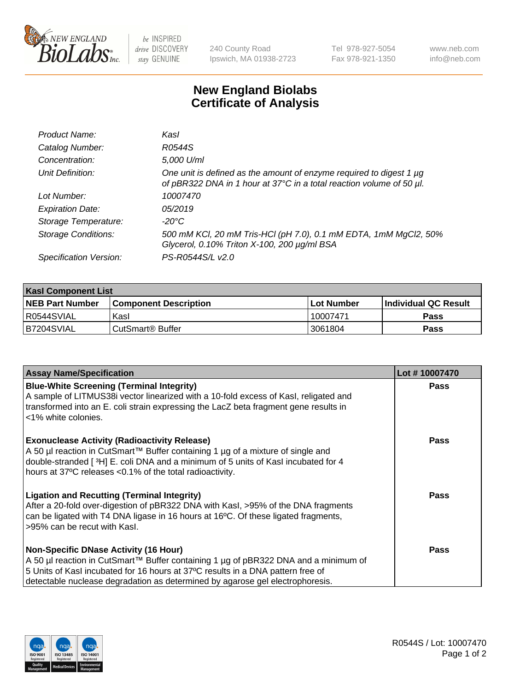

be INSPIRED drive DISCOVERY stay GENUINE

240 County Road Ipswich, MA 01938-2723 Tel 978-927-5054 Fax 978-921-1350

www.neb.com info@neb.com

## **New England Biolabs Certificate of Analysis**

| Product Name:              | Kasl                                                                                                                                             |
|----------------------------|--------------------------------------------------------------------------------------------------------------------------------------------------|
| Catalog Number:            | R0544S                                                                                                                                           |
| Concentration:             | 5,000 U/ml                                                                                                                                       |
| Unit Definition:           | One unit is defined as the amount of enzyme required to digest 1 $\mu$ g<br>of pBR322 DNA in 1 hour at 37°C in a total reaction volume of 50 µl. |
| Lot Number:                | 10007470                                                                                                                                         |
| <b>Expiration Date:</b>    | 05/2019                                                                                                                                          |
| Storage Temperature:       | -20°C                                                                                                                                            |
| <b>Storage Conditions:</b> | 500 mM KCl, 20 mM Tris-HCl (pH 7.0), 0.1 mM EDTA, 1mM MgCl2, 50%<br>Glycerol, 0.10% Triton X-100, 200 µg/ml BSA                                  |
| Specification Version:     | PS-R0544S/L v2.0                                                                                                                                 |

| <b>Kasl Component List</b> |                              |                   |                             |  |  |
|----------------------------|------------------------------|-------------------|-----------------------------|--|--|
| <b>NEB Part Number</b>     | <b>Component Description</b> | <b>Lot Number</b> | <b>Individual QC Result</b> |  |  |
| I R0544SVIAL               | Kasl                         | 10007471          | <b>Pass</b>                 |  |  |
| B7204SVIAL                 | l CutSmart® Buffer           | 3061804           | Pass                        |  |  |

| <b>Assay Name/Specification</b>                                                                                                                                                                                                                                                                         | Lot #10007470 |
|---------------------------------------------------------------------------------------------------------------------------------------------------------------------------------------------------------------------------------------------------------------------------------------------------------|---------------|
| <b>Blue-White Screening (Terminal Integrity)</b><br>A sample of LITMUS38i vector linearized with a 10-fold excess of Kasl, religated and<br>transformed into an E. coli strain expressing the LacZ beta fragment gene results in<br><1% white colonies.                                                 | <b>Pass</b>   |
| <b>Exonuclease Activity (Radioactivity Release)</b><br>A 50 µl reaction in CutSmart™ Buffer containing 1 µg of a mixture of single and<br>double-stranded [3H] E. coli DNA and a minimum of 5 units of Kasl incubated for 4<br>hours at 37°C releases <0.1% of the total radioactivity.                 | Pass          |
| <b>Ligation and Recutting (Terminal Integrity)</b><br>After a 20-fold over-digestion of pBR322 DNA with Kasl, >95% of the DNA fragments<br>can be ligated with T4 DNA ligase in 16 hours at 16°C. Of these ligated fragments,<br>>95% can be recut with Kasl.                                           | <b>Pass</b>   |
| <b>Non-Specific DNase Activity (16 Hour)</b><br>A 50 µl reaction in CutSmart™ Buffer containing 1 µg of pBR322 DNA and a minimum of<br>5 Units of Kasl incubated for 16 hours at 37°C results in a DNA pattern free of<br>detectable nuclease degradation as determined by agarose gel electrophoresis. | Pass          |